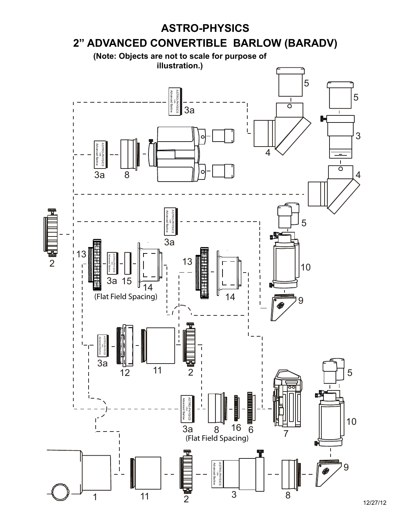